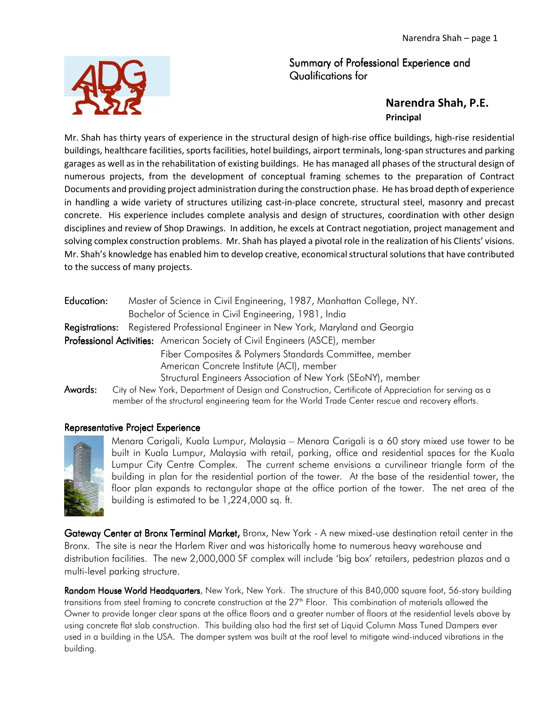## Summary of Professional Experience and Qualifications for

## **Narendra Shah, P.E. Principal**

Mr. Shah has thirty years of experience in the structural design of high-rise office buildings, high-rise residential buildings, healthcare facilities, sports facilities, hotel buildings, airport terminals, long-span structures and parking garages as well as in the rehabilitation of existing buildings. He has managed all phases of the structural design of numerous projects, from the development of conceptual framing schemes to the preparation of Contract Documents and providing project administration during the construction phase. He has broad depth of experience in handling a wide variety of structures utilizing cast-in-place concrete, structural steel, masonry and precast concrete. His experience includes complete analysis and design of structures, coordination with other design disciplines and review of Shop Drawings. In addition, he excels at Contract negotiation, project management and solving complex construction problems. Mr. Shah has played a pivotal role in the realization of his Clients' visions. Mr. Shah's knowledge has enabled him to develop creative, economical structural solutions that have contributed to the success of many projects.

| Education:                                                                  | Master of Science in Civil Engineering, 1987, Manhattan College, NY.                                  |
|-----------------------------------------------------------------------------|-------------------------------------------------------------------------------------------------------|
|                                                                             | Bachelor of Science in Civil Engineering, 1981, India                                                 |
| Registrations:                                                              | Registered Professional Engineer in New York, Maryland and Georgia                                    |
| Professional Activities: American Society of Civil Engineers (ASCE), member |                                                                                                       |
|                                                                             | Fiber Composites & Polymers Standards Committee, member                                               |
|                                                                             | American Concrete Institute (ACI), member                                                             |
|                                                                             | Structural Engineers Association of New York (SEoNY), member                                          |
| Awards:                                                                     | City of New York, Department of Design and Construction, Certificate of Appreciation for serving as a |
|                                                                             | member of the structural engineering team for the World Trade Center rescue and recovery efforts.     |

## Representative Project Experience



Menara Carigali, Kuala Lumpur, Malaysia – Menara Carigali is a 60 story mixed use tower to be built in Kuala Lumpur, Malaysia with retail, parking, office and residential spaces for the Kuala Lumpur City Centre Complex. The current scheme envisions a curvilinear triangle form of the building in plan for the residential portion of the tower. At the base of the residential tower, the floor plan expands to rectangular shape at the office portion of the tower. The net area of the building is estimated to be 1,224,000 sq. ft.

Gateway Center at Bronx Terminal Market, Bronx, New York - A new mixed-use destination retail center in the Bronx. The site is near the Harlem River and was historically home to numerous heavy warehouse and distribution facilities. The new 2,000,000 SF complex will include 'big box' retailers, pedestrian plazas and a multi-level parking structure.

Random House World Headquarters, New York, New York. The structure of this 840,000 square foot, 56-story building transitions from steel framing to concrete construction at the 27<sup>th</sup> Floor. This combination of materials allowed the Owner to provide longer clear spans at the office floors and a greater number of floors at the residential levels above by using concrete flat slab construction. This building also had the first set of Liquid Column Mass Tuned Dampers ever used in a building in the USA. The damper system was built at the roof level to mitigate wind-induced vibrations in the building.